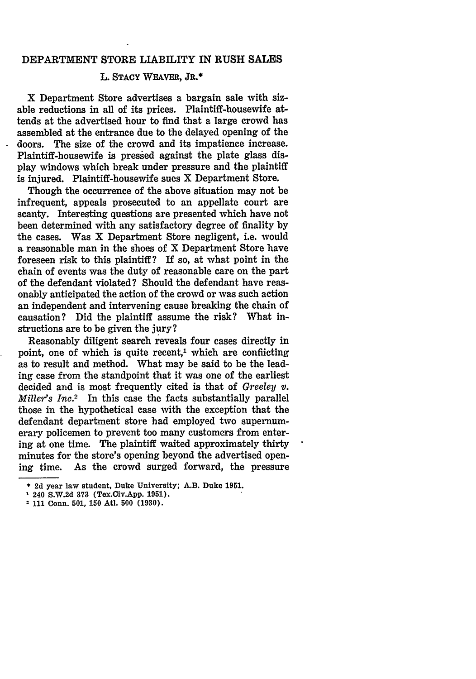## DEPARTMENT STORE LIABILITY IN **RUSH SALES**

## L. **STACY WEAVER, JR.\***

X Department Store advertises a bargain sale with sizable reductions in all of its prices. Plaintiff-housewife attends at the advertised hour to find that a large crowd has assembled at the entrance due to the delayed opening of the doors. The size of the crowd and its impatience increase. Plaintiff-housewife is pressed against the plate glass display windows which break under pressure and the plaintiff is injured. Plaintiff-housewife sues X Department Store.

Though the occurrence of the above situation may not be infrequent, appeals prosecuted to an appellate court are scanty. Interesting questions are presented which have not been determined with any satisfactory degree of finality by the cases. Was X Department Store negligent, i.e. would a reasonable man in the shoes of X Department Store have foreseen risk to this plaintiff? If so, at what point in the chain of events was the duty of reasonable care on the part of the defendant violated? Should the defendant have reasonably anticipated the action of the crowd or was such action an independent and intervening cause breaking the chain of causation? Did the plaintiff assume the risk? What instructions are to be given the jury?

Reasonably diligent search reveals four cases directly in point, one of which is quite recent, $<sup>1</sup>$  which are conflicting</sup> as to result and method. What may be said to be the leading case from the standpoint that it was one of the earliest decided and is most frequently cited is that of *Greeley v. Miller's Inc.2* In this case the facts substantially parallel those in the hypothetical case with the exception that the defendant department store had employed two supernumerary policemen to prevent too many customers from entering at one time. The plaintiff waited approximately thirty minutes for the store's opening beyond the advertised opening time. As the crowd surged forward, the pressure

**<sup>\* 2</sup>d** year law student, Duke **University;** A.B. **Duke 1951.**

**<sup>1 240</sup> S.W.2d 373** (Tex.Civ.App. **1951).**

**<sup>111</sup> Conn. 501, 150** Atl. **500 (1930).**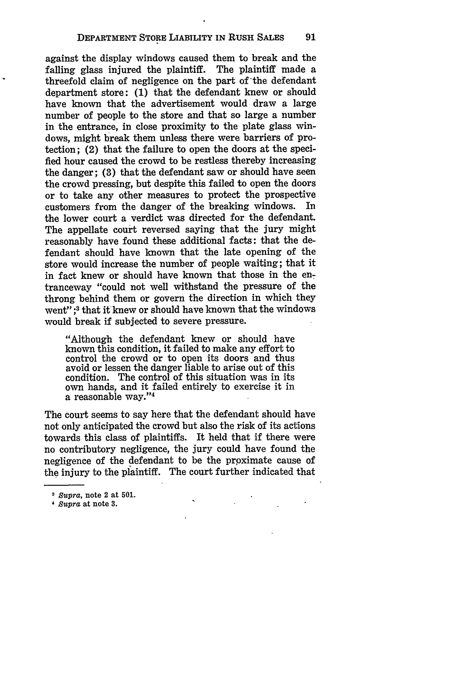against the display windows caused them to break and the falling glass injured the plaintiff. The plaintiff made a threefold claim of negligence on the part of'the defendant department store: **(1)** that the defendant knew or should have known that the advertisement would draw a large number of people to the store and that so large a number in the entrance, in close proximity to the plate glass windows, might break them unless there were barriers of protection; (2) that the failure to open the doors at the specified hour caused the crowd to be restless thereby increasing the danger; **(3)** that the defendant saw or should have seen the crowd pressing, but despite this failed to open the doors or to take any other measures to protect the prospective customers from the danger of the breaking windows. In the lower court a verdict was directed for the defendant The appellate court reversed saying that the jury might reasonably have found these additional facts: that the defendant should have known that the late opening of the store would increase the number of people waiting; that it in fact knew or should have known that those in the entranceway "could not well withstand the pressure of the throng behind them or govern the direction in which they went":<sup>3</sup> that it knew or should have known that the windows would break if subjected to severe pressure.

"Although the defendant knew or should have known this condition, it failed to make any effort to control the crowd or to open its doors and thus avoid or lessen the danger liable to arise out of this condition. The control of this situation was in its own hands, and it failed entirely to exercise it in a reasonable way."<sup>4</sup>

The court seems to say here that the defendant should have not only anticipated the crowd but also the risk of its actions towards this class of plaintiffs. It held that if there were no contributory negligence, the jury could have found the negligence of the defendant to be the proximate cause of the injury to the plaintiff. The court further indicated that

*Supra* at note **3.**

*Supra,* note 2 at **501.**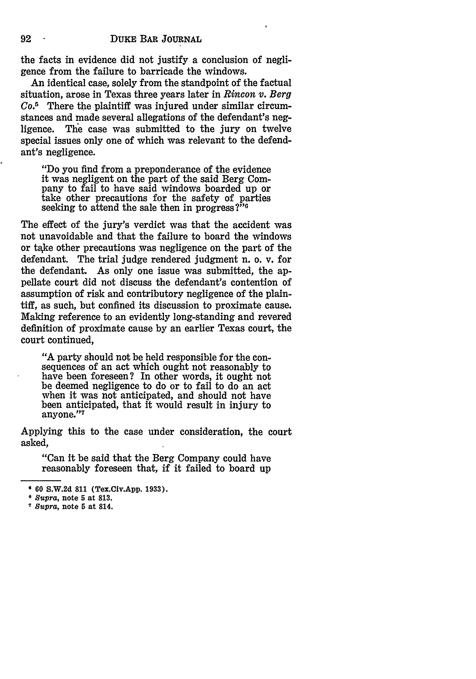the facts in evidence did not justify a conclusion of negligence from the failure to barricade the windows.

An identical case, solely from the standpoint of the factual situation, arose in Texas three years later in *Rincon v. Berg Co.5* There the plaintiff was injured under similar circumstances and made several allegations of the defendant's negligence. The case was submitted to the jury on twelve special issues only one of which was relevant to the defendant's negligence.

"Do you find from a preponderance of the evidence it was negligent on the part of the said Berg Company to fail to have said windows boarded up or take other precautions for the safety of parties seeking to attend the sale then in progress? $i^{n_6}$ 

The effect of the jury's verdict was that the accident was not unavoidable and that the failure to board the windows or take other precautions was negligence on the part of the defendant. The trial judge rendered judgment n. o. v. for the defendant. As only one issue was submitted, the appellate court did not discuss the defendant's contention of assumption of risk and contributory negligence of the plaintiff, as such, but confined its discussion to proximate cause. Making reference to an evidently long-standing and revered definition of proximate cause **by** an earlier Texas court, the court continued,

"A party should not be held responsible for the consequences of an act which ought not reasonably to have been foreseen? In other words, it ought not be deemed negligence to do or to fail to do an act when it was not anticipated, and should not have been anticipated, that it would result in injury to anyone."7

Applying this to the case under consideration, the court asked,

"Can it be said that the Berg Company could have reasonably foreseen that, if it failed to board up

**<sup>4 60</sup> S.W.2d 811 (Tex.Civ.App. 1933).**

*<sup>6</sup>* Supra, **note 5 at 813.**

**<sup>7</sup>** *Supra,* **note 5 at 814.**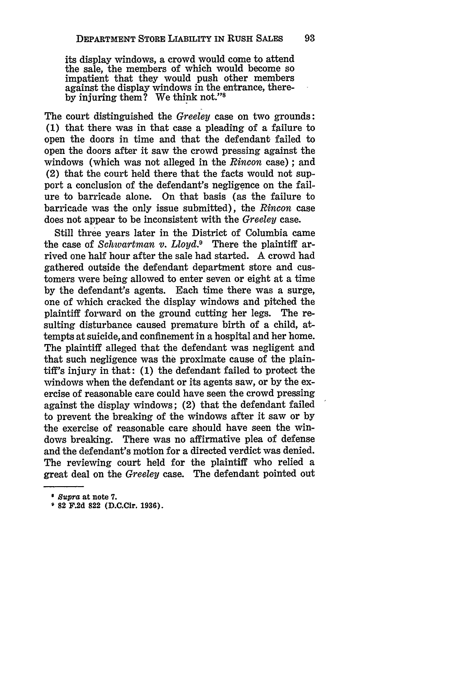its display windows, a crowd would come to attend the sale, the members of which would become so impatient that they would push other members against the display windows in the entrance, thereby injuring them? We think not."<sup>8</sup>

The court distinguished the *Greeley* case on two grounds: (1) that there was in that case a pleading of a failure to open the doors in time and that the defendant failed to open the doors after it saw the crowd pressing against the windows (which was not alleged in the *Rincon* case); and (2) that the court held there that the facts would not support a conclusion of the defendant's negligence on the failure to barricade alone. On that basis (as the failure to barricade was the only issue submitted), the *Rincon* case does not appear to be inconsistent with the *Greeley* case.

Still three years later in the District of Columbia came the case of *Schwartman v. Lloyd.9* There the plaintiff arrived one half hour after the sale had started. A crowd had gathered outside the defendant department store and customers were being allowed to enter seven or eight at a time by the defendant's agents. Each time there was a surge, one of which cracked the display windows and pitched the plaintiff forward on the ground cutting her legs. The resulting disturbance caused premature birth of a child, attempts at suicide, and confinement in a hospital and her home. The plaintiff alleged that the defendant was negligent and that such negligence was the proximate cause of the plaintiff's injury in that: (1) the defendant failed to protect the windows when the defendant or its agents saw, or by the exercise of reasonable care could have seen the crowd pressing against the display windows; (2) that the defendant failed to prevent the breaking of the windows after it saw or by the exercise of reasonable care should have seen the windows breaking. There was no affirmative plea of defense and the defendant's motion for a directed verdict was denied. The reviewing court held for the plaintiff who relied a great deal on the *Greeley* case. The defendant pointed out

*Supra* **at note 7.**

**<sup>82</sup> F.2d 822 (D.C.Cir. 1936).**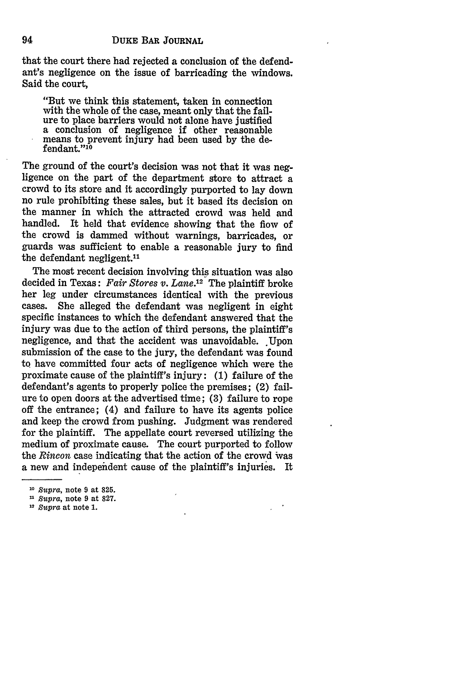that the court there had rejected a conclusion of the defendant's negligence on the issue of barricading the windows. Said the court,

"But we think this statement, taken in connection with the whole of the case, meant only that the failure to place barriers would not alone have justified a conclusion of negligence if other reasonable means to prevent injury had been used **by** the defendant."<sup>10</sup>

The ground of the court's decision was not that it was negligence on the part of the department store to attract a crowd to its store and it accordingly purported to lay down no rule prohibiting these sales, but it based its decision on the manner in which the attracted crowd was held and handled. It held that evidence showing that the flow of the crowd is dammed without warnings, barricades, or guards was sufficient to enable a reasonable jury to find the defendant negligent.<sup>11</sup>

The most recent decision involving this situation was also decided in Texas: *Fair Stores v. Lane.12* The plaintiff broke her leg under circumstances identical with the previous cases. She alleged the defendant was negligent in eight specific instances to which the defendant answered that the injury was due to the action of third persons, the plaintiff's negligence, and that the accident was unavoidable. Upon submission of the case to the jury, the defendant was found to have committed four acts of negligence which were the proximate cause of the plaintiff's injury: **(1)** failure of the defendant's agents to properly police the premises; (2) failure to open doors at the advertised time; **(3)** failure to rope off the entrance; (4) and failure to have its agents police and keep the crowd from pushing. Judgment was rendered for the plaintiff. The appellate court reversed utilizing the medium of proximate cause. The court purported to follow the *Rincon* case indicating that the action of the crowd Was a new and independent cause of the plaintiff's injuries. It

**<sup>10</sup>** Suzpra, note **9** at **825.**

SSupra, note **9** at **827.**

**<sup>12</sup>** *Supra* at note **1.**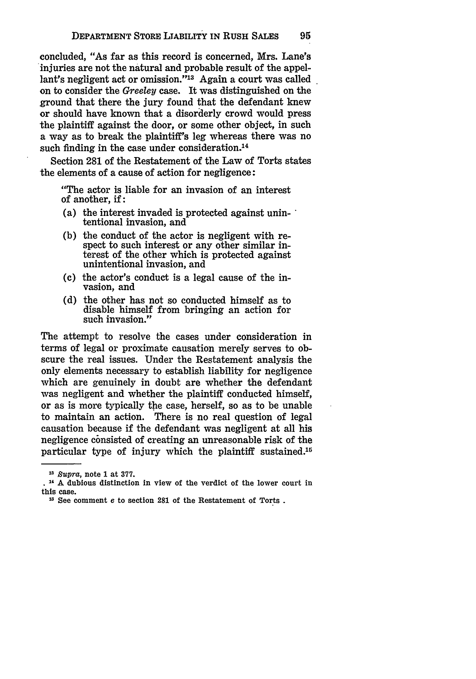concluded, "As far as this record is concerned, Mrs. Lane's injuries are not the natural and probable result of the appellant's negligent act or omission."<sup>13</sup> Again a court was called on to consider the Greeley case. It was distinguished on the ground that there the jury found that the defendant knew or should have known that a disorderly crowd would press the plaintiff against the door, or some other object, in such a way as to break the plaintiff's leg whereas there was no such finding in the case under consideration.<sup>14</sup>

Section **281** of the Restatement of the Law of Torts states the elements of a cause of action for negligence:

"The actor is liable for an invasion of an interest of another, if:

- (a) the interest invaded is protected against unintentional invasion, and
- **(b)** the conduct of the actor is negligent with respect to such interest or any other similar interest of the other which is protected against unintentional invasion, and
- **(c)** the actor's conduct is a legal cause of the invasion, and
- **(d)** the other has not so conducted himself as to disable himself from bringing an action for such invasion."

The attempt to resolve the cases under consideration in terms of legal or proximate causation merely serves to obscure the real issues. Under the Restatement analysis the only elements necessary to establish liability for negligence which are genuinely in doubt are whether the defendant was negligent and whether the plaintiff conducted himself, or as is more typically **the** case, herself, so as to be unable to maintain an action. There is no real question of legal causation because if the defendant was negligent at all his negligence consisted of creating an unreasonable risk of the particular type of injury which the plaintiff sustained.<sup>15</sup>

**<sup>3</sup>** Supra, note **1** at **377.**

<sup>&</sup>lt;sup>24</sup> A dubious distinction in view of the verdict of the lower court in this case.

**<sup>13</sup>** See comment e to section **281** of the Restatement of Torts.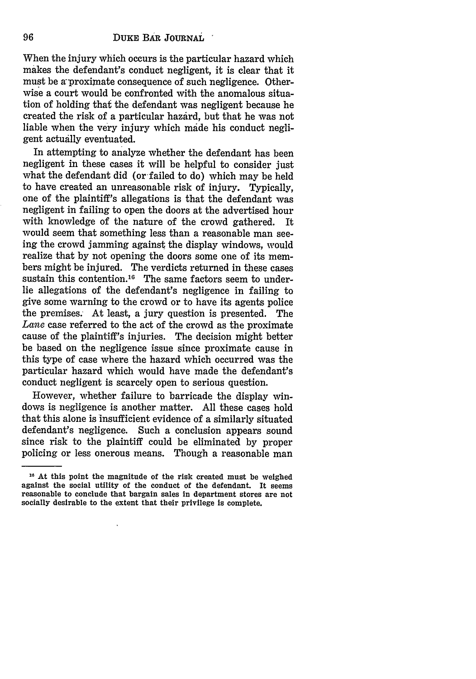When the injury which occurs is the particular hazard which makes the defendant's conduct negligent, it is clear that it must be a proximate consequence of such negligence. Otherwise a court would be confronted with the anomalous situation of holding that the defendant was negligent because he created the risk of a particular hazard, but that he was not liable when the very injury which made his conduct negligent actually eventuated.

In attempting to analyze whether the defendant has been negligent in these cases it will be helpful to consider just what the defendant did (or failed to do) which may be held to have created an unreasonable risk of injury. Typically, one of the plaintiff's allegations is that the defendant was negligent in failing to open the doors at the advertised hour with knowledge of the nature of the crowd gathered. It would seem that something less than a reasonable man seeing the crowd jamming against the display windows, would realize that by not opening the doors some one of its members might be injured. The verdicts returned in these cases sustain this contention.<sup>16</sup> The same factors seem to underlie allegations of the defendant's negligence in failing to give some warning to the crowd or to have its agents police the premises. At least, a jury question is presented. The *Lane* case referred to the act of the crowd as the proximate cause of the plaintiff's injuries. The decision might better be based on the negligence issue since proximate cause in this type of case where the hazard which occurred was the particular hazard which would have made the defendant's conduct negligent is scarcely open to serious question.

However, whether failure to barricade the display windows is negligence is another matter. All these cases hold that this alone is insufficient evidence of a similarly situated defendant's negligence. Such a conclusion appears sound since risk to the plaintiff could be eliminated by proper policing or less onerous means. Though a reasonable man

<sup>&</sup>lt;sup>16</sup> At this point the magnitude of the risk created must be weighed against the social utility of the conduct of the defendant. It seems reasonable to conclude that bargain sales in department stores are not socially desirable to the extent that their privilege is complete.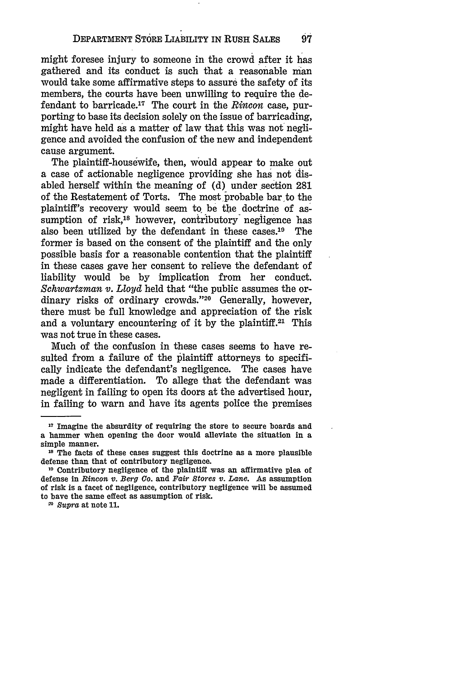might foresee injury to someone in the crowd after it has gathered and its conduct is such that a reasonable man would take some affirmative steps to assure the safety of its members, the courts have been unwilling to require the defendant to barricade.17 The court in the *Rincon* case, purporting to base its decision solely on the issue of barricading, might have held as a matter of law that this was not negligence and avoided the confusion of the new and independent cause argument.

The plaintiff-housewife, then, would appear to make out a case of actionable negligence providing she has not disabled herself within the meaning of (d) under section 281 of the Restatement of Torts. The most probable bar to the plaintiff's recovery would seem to be the doctrine of assumption of risk,<sup>18</sup> however, contributory negligence has also been utilized by the defendant in these cases.<sup>19</sup> The former is based on the consent of the plaintiff and the only possible basis for a reasonable contention that the plaintiff in these cases gave her consent to relieve the defendant of liability would be by implication from her conduct. *Schwartzman v. Lloyd* held that "the public assumes the ordinary risks of ordinary crowds."<sup>20</sup> Generally, however, there must be full knowledge and appreciation of the risk and a voluntary encountering of it by the plaintiff.<sup>21</sup> This was not true in these cases.

Much of the confusion in these cases seems to have resulted from a failure of the plaintiff attorneys to specifically indicate the defendant's negligence. The cases have made a differentiation. To allege that the defendant was negligent in failing to open its doors at the advertised hour, in failing to warn and have its agents police the premises

*20 Supra* at note 11.

**<sup>17</sup>** Imagine the absurdity of requiring the store to secure boards and a hammer when opening the door would alleviate the situation in a simple manner.

<sup>&</sup>lt;sup>18</sup> The facts of these cases suggest this doctrine as a more plausible defense than that of contributory negligence.

**<sup>10</sup>** Contributory negligence of the plaintiff was an affirmative plea of defense in Rincon *v. Berg Co.* and *Fair Stores v. Lane.* As assumption of risk is a facet of negligence, contributory negligence will be assumed to have the same effect as assumption of risk.